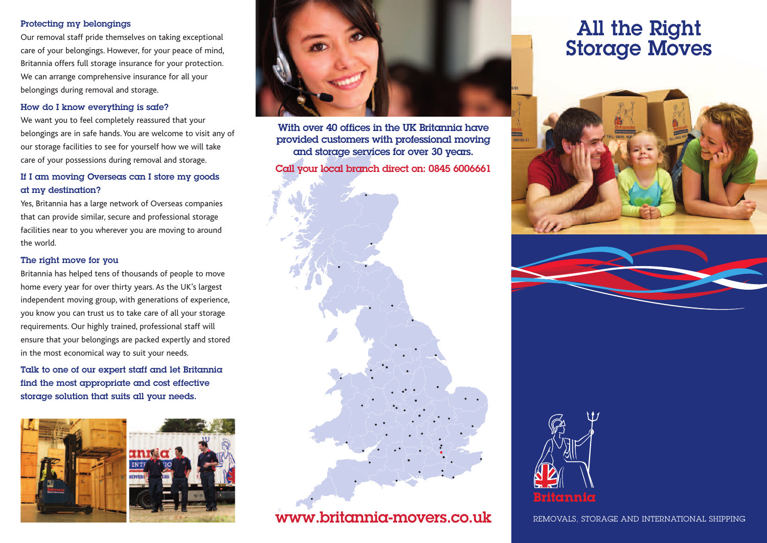### **Protecting my belongings**

Our removal staff pride themselves on taking exceptional care of your belongings. However, for your peace of mind, Britannia offers full storage insurance for your protection. We can arrange comprehensive insurance for all your belongings during removal and storage.

## **How do I know everything is safe?**

We want you to feel completely reassured that your belongings are in safe hands. You are welcome to visit any of our storage facilities to see for yourself how we will take care of your possessions during removal and storage.

# **If I am moving Overseas can I store my goods at my destination?**

Yes, Britannia has a large network of Overseas companies that can provide similar, secure and professional storage facilities near to you wherever you are moving to around the world.

## **The right move for you**

Britannia has helped tens of thousands of people to move home every year for over thirty years. As the UK's largest independent moving group, with generations of experience, you know you can trust us to take care of all your storage requirements. Our highly trained, professional staff will ensure that your belongings are packed expertly and stored in the most economical way to suit your needs.

**Talk to one of our expert staff and let Britannia find the most appropriate and cost effective storage solution that suits all your needs.**





**With over 40 offices in the UK Britannia have provided customers with professional moving and storage services for over 30 years.**

**Call your local branch direct on: 0845 6006661**

**www.britannia-movers.co.uk**

# **All the Right Storage Moves**







REMOVALS, STORAGE AND INTERNATIONAL SHIPPING